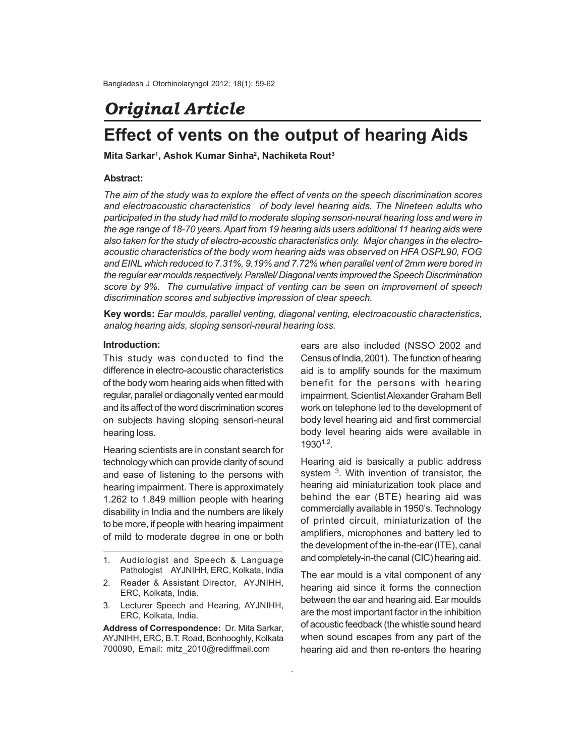# *Original Article*

# **Effect of vents on the output of hearing Aids**

**Mita Sarkar<sup>1</sup> , Ashok Kumar Sinha<sup>2</sup> , Nachiketa Rout<sup>3</sup>**

#### **Abstract:**

*The aim of the study was to explore the effect of vents on the speech discrimination scores and electroacoustic characteristics of body level hearing aids. The Nineteen adults who participated in the study had mild to moderate sloping sensori-neural hearing loss and were in the age range of 18-70 years. Apart from 19 hearing aids users additional 11 hearing aids were also taken for the study of electro-acoustic characteristics only. Major changes in the electroacoustic characteristics of the body worn hearing aids was observed on HFA OSPL90, FOG and EINL which reduced to 7.31%, 9.19% and 7.72% when parallel vent of 2mm were bored in the regular ear moulds respectively. Parallel/ Diagonal vents improved the Speech Discrimination score by 9%. The cumulative impact of venting can be seen on improvement of speech discrimination scores and subjective impression of clear speech.*

**Key words:** *Ear moulds, parallel venting, diagonal venting, electroacoustic characteristics, analog hearing aids, sloping sensori-neural hearing loss.*

.

#### **Introduction:**

This study was conducted to find the difference in electro-acoustic characteristics of the body worn hearing aids when fitted with regular, parallel or diagonally vented ear mould and its affect of the word discrimination scores on subjects having sloping sensori-neural hearing loss.

Hearing scientists are in constant search for technology which can provide clarity of sound and ease of listening to the persons with hearing impairment. There is approximately 1.262 to 1.849 million people with hearing disability in India and the numbers are likely to be more, if people with hearing impairment of mild to moderate degree in one or both

3. Lecturer Speech and Hearing, AYJNIHH, ERC, Kolkata, India.

**Address of Correspondence:** Dr. Mita Sarkar, AYJNIHH, ERC, B.T. Road, Bonhooghly, Kolkata 700090, Email: mitz\_2010@rediffmail.com

ears are also included (NSSO 2002 and Census of India, 2001). The function of hearing aid is to amplify sounds for the maximum benefit for the persons with hearing impairment. Scientist Alexander Graham Bell work on telephone led to the development of body level hearing aid and first commercial body level hearing aids were available in 19301,2 .

Hearing aid is basically a public address system <sup>3</sup>. With invention of transistor, the hearing aid miniaturization took place and behind the ear (BTE) hearing aid was commercially available in 1950's. Technology of printed circuit, miniaturization of the amplifiers, microphones and battery led to the development of the in-the-ear (ITE), canal and completely-in-the canal (CIC) hearing aid.

The ear mould is a vital component of any hearing aid since it forms the connection between the ear and hearing aid. Ear moulds are the most important factor in the inhibition of acoustic feedback (the whistle sound heard when sound escapes from any part of the hearing aid and then re-enters the hearing

<sup>1.</sup> Audiologist and Speech & Language Pathologist AYJNIHH, ERC, Kolkata, India

<sup>2.</sup> Reader & Assistant Director, AYJNIHH, ERC, Kolkata, India.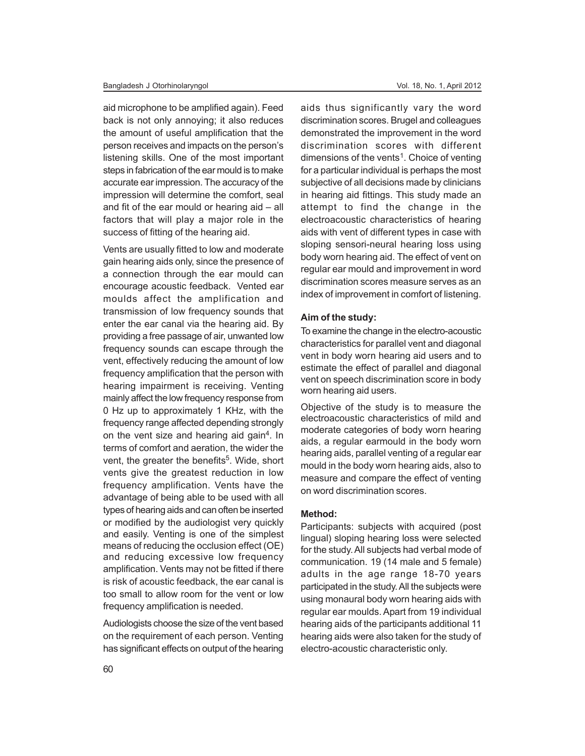aid microphone to be amplified again). Feed back is not only annoying; it also reduces the amount of useful amplification that the person receives and impacts on the person's listening skills. One of the most important steps in fabrication of the ear mould is to make accurate ear impression. The accuracy of the impression will determine the comfort, seal and fit of the ear mould or hearing aid – all factors that will play a major role in the success of fitting of the hearing aid.

Vents are usually fitted to low and moderate gain hearing aids only, since the presence of a connection through the ear mould can encourage acoustic feedback. Vented ear moulds affect the amplification and transmission of low frequency sounds that enter the ear canal via the hearing aid. By providing a free passage of air, unwanted low frequency sounds can escape through the vent, effectively reducing the amount of low frequency amplification that the person with hearing impairment is receiving. Venting mainly affect the low frequency response from 0 Hz up to approximately 1 KHz, with the frequency range affected depending strongly on the vent size and hearing aid gain<sup>4</sup>. In terms of comfort and aeration, the wider the vent, the greater the benefits<sup>5</sup>. Wide, short vents give the greatest reduction in low frequency amplification. Vents have the advantage of being able to be used with all types of hearing aids and can often be inserted or modified by the audiologist very quickly and easily. Venting is one of the simplest means of reducing the occlusion effect (OE) and reducing excessive low frequency amplification. Vents may not be fitted if there is risk of acoustic feedback, the ear canal is too small to allow room for the vent or low frequency amplification is needed.

Audiologists choose the size of the vent based on the requirement of each person. Venting has significant effects on output of the hearing aids thus significantly vary the word discrimination scores. Brugel and colleagues demonstrated the improvement in the word discrimination scores with different dimensions of the vents<sup>1</sup>. Choice of venting for a particular individual is perhaps the most subjective of all decisions made by clinicians in hearing aid fittings. This study made an attempt to find the change in the electroacoustic characteristics of hearing aids with vent of different types in case with sloping sensori-neural hearing loss using body worn hearing aid. The effect of vent on regular ear mould and improvement in word discrimination scores measure serves as an index of improvement in comfort of listening.

#### **Aim of the study:**

To examine the change in the electro-acoustic characteristics for parallel vent and diagonal vent in body worn hearing aid users and to estimate the effect of parallel and diagonal vent on speech discrimination score in body worn hearing aid users.

Objective of the study is to measure the electroacoustic characteristics of mild and moderate categories of body worn hearing aids, a regular earmould in the body worn hearing aids, parallel venting of a regular ear mould in the body worn hearing aids, also to measure and compare the effect of venting on word discrimination scores.

## **Method:**

Participants: subjects with acquired (post lingual) sloping hearing loss were selected for the study. All subjects had verbal mode of communication. 19 (14 male and 5 female) adults in the age range 18-70 years participated in the study. All the subjects were using monaural body worn hearing aids with regular ear moulds. Apart from 19 individual hearing aids of the participants additional 11 hearing aids were also taken for the study of electro-acoustic characteristic only.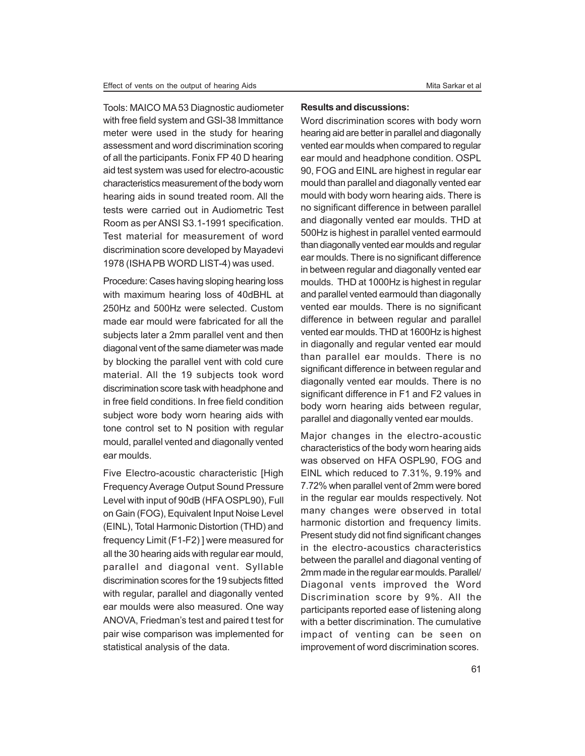Tools: MAICO MA 53 Diagnostic audiometer with free field system and GSI-38 Immittance meter were used in the study for hearing assessment and word discrimination scoring of all the participants. Fonix FP 40 D hearing aid test system was used for electro-acoustic characteristics measurement of the body worn hearing aids in sound treated room. All the tests were carried out in Audiometric Test Room as per ANSI S3.1-1991 specification. Test material for measurement of word discrimination score developed by Mayadevi 1978 (ISHA PB WORD LIST-4) was used.

Procedure: Cases having sloping hearing loss with maximum hearing loss of 40dBHL at 250Hz and 500Hz were selected. Custom made ear mould were fabricated for all the subjects later a 2mm parallel vent and then diagonal vent of the same diameter was made by blocking the parallel vent with cold cure material. All the 19 subjects took word discrimination score task with headphone and in free field conditions. In free field condition subject wore body worn hearing aids with tone control set to N position with regular mould, parallel vented and diagonally vented ear moulds.

Five Electro-acoustic characteristic [High Frequency Average Output Sound Pressure Level with input of 90dB (HFA OSPL90), Full on Gain (FOG), Equivalent Input Noise Level (EINL), Total Harmonic Distortion (THD) and frequency Limit (F1-F2) ] were measured for all the 30 hearing aids with regular ear mould, parallel and diagonal vent. Syllable discrimination scores for the 19 subjects fitted with regular, parallel and diagonally vented ear moulds were also measured. One way ANOVA, Friedman's test and paired t test for pair wise comparison was implemented for statistical analysis of the data.

### **Results and discussions:**

Word discrimination scores with body worn hearing aid are better in parallel and diagonally vented ear moulds when compared to regular ear mould and headphone condition. OSPL 90, FOG and EINL are highest in regular ear mould than parallel and diagonally vented ear mould with body worn hearing aids. There is no significant difference in between parallel and diagonally vented ear moulds. THD at 500Hz is highest in parallel vented earmould than diagonally vented ear moulds and regular ear moulds. There is no significant difference in between regular and diagonally vented ear moulds. THD at 1000Hz is highest in regular and parallel vented earmould than diagonally vented ear moulds. There is no significant difference in between regular and parallel vented ear moulds. THD at 1600Hz is highest in diagonally and regular vented ear mould than parallel ear moulds. There is no significant difference in between regular and diagonally vented ear moulds. There is no significant difference in F1 and F2 values in body worn hearing aids between regular, parallel and diagonally vented ear moulds.

Major changes in the electro-acoustic characteristics of the body worn hearing aids was observed on HFA OSPL90, FOG and EINL which reduced to 7.31%, 9.19% and 7.72% when parallel vent of 2mm were bored in the regular ear moulds respectively. Not many changes were observed in total harmonic distortion and frequency limits. Present study did not find significant changes in the electro-acoustics characteristics between the parallel and diagonal venting of 2mm made in the regular ear moulds. Parallel/ Diagonal vents improved the Word Discrimination score by 9%. All the participants reported ease of listening along with a better discrimination. The cumulative impact of venting can be seen on improvement of word discrimination scores.